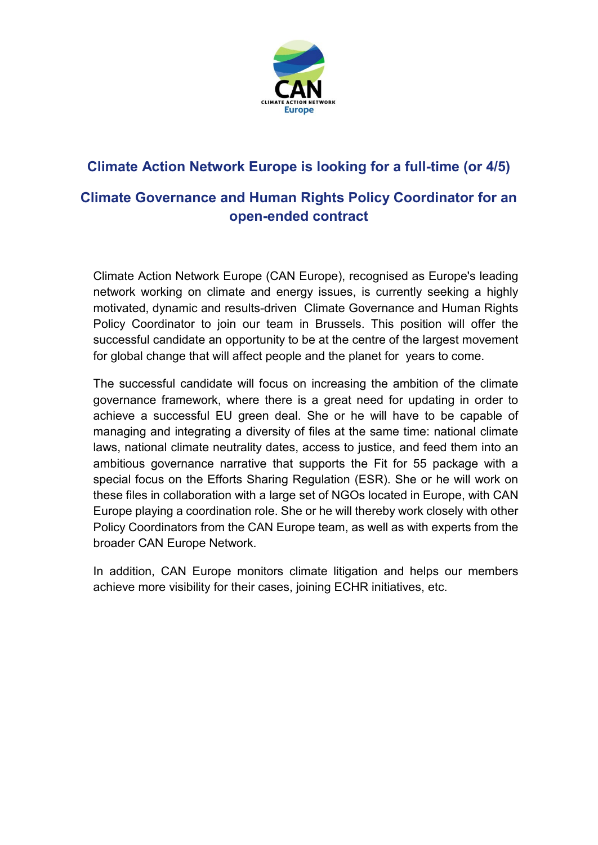

# **Climate Action Network Europe is looking for a full-time (or 4/5)**

## **Climate Governance and Human Rights Policy Coordinator for an open-ended contract**

Climate Action Network Europe (CAN Europe), recognised as Europe's leading network working on climate and energy issues, is currently seeking a highly motivated, dynamic and results-driven Climate Governance and Human Rights Policy Coordinator to join our team in Brussels. This position will offer the successful candidate an opportunity to be at the centre of the largest movement for global change that will affect people and the planet for years to come.

The successful candidate will focus on increasing the ambition of the climate governance framework, where there is a great need for updating in order to achieve a successful EU green deal. She or he will have to be capable of managing and integrating a diversity of files at the same time: national climate laws, national climate neutrality dates, access to justice, and feed them into an ambitious governance narrative that supports the Fit for 55 package with a special focus on the Efforts Sharing Regulation (ESR). She or he will work on these files in collaboration with a large set of NGOs located in Europe, with CAN Europe playing a coordination role. She or he will thereby work closely with other Policy Coordinators from the CAN Europe team, as well as with experts from the broader CAN Europe Network.

In addition, CAN Europe monitors climate litigation and helps our members achieve more visibility for their cases, joining ECHR initiatives, etc.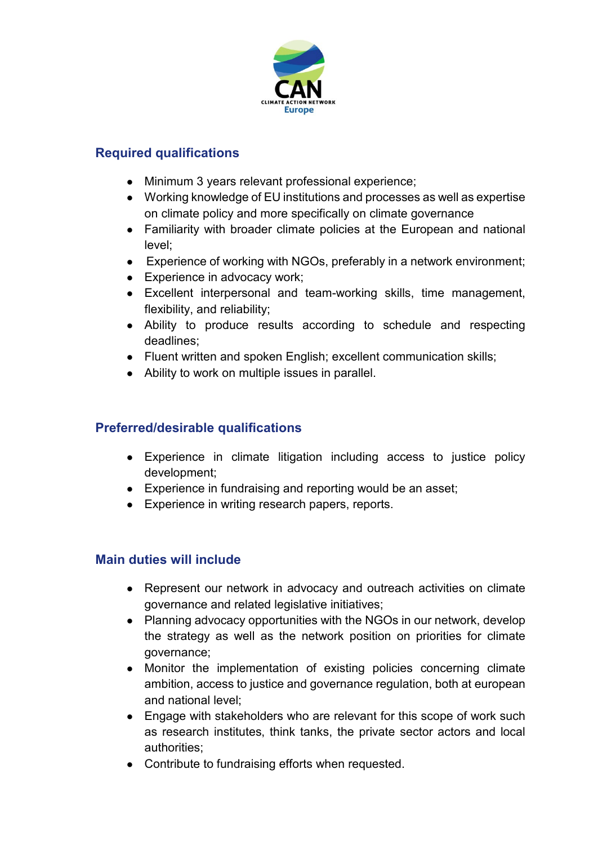

### **Required qualifications**

- Minimum 3 years relevant professional experience;
- Working knowledge of EU institutions and processes as well as expertise on climate policy and more specifically on climate governance
- Familiarity with broader climate policies at the European and national level;
- Experience of working with NGOs, preferably in a network environment;
- Experience in advocacy work;
- Excellent interpersonal and team-working skills, time management, flexibility, and reliability;
- Ability to produce results according to schedule and respecting deadlines;
- Fluent written and spoken English; excellent communication skills;
- Ability to work on multiple issues in parallel.

### **Preferred/desirable qualifications**

- Experience in climate litigation including access to justice policy development;
- Experience in fundraising and reporting would be an asset;
- Experience in writing research papers, reports.

### **Main duties will include**

- Represent our network in advocacy and outreach activities on climate governance and related legislative initiatives;
- Planning advocacy opportunities with the NGOs in our network, develop the strategy as well as the network position on priorities for climate governance;
- Monitor the implementation of existing policies concerning climate ambition, access to justice and governance regulation, both at european and national level;
- Engage with stakeholders who are relevant for this scope of work such as research institutes, think tanks, the private sector actors and local authorities;
- Contribute to fundraising efforts when requested.